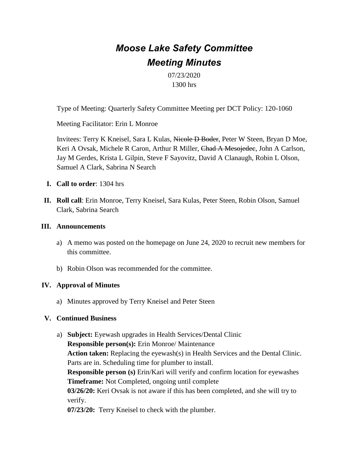# *Moose Lake Safety Committee Meeting Minutes*

07/23/2020 1300 hrs

Type of Meeting: Quarterly Safety Committee Meeting per DCT Policy: 120-1060

Meeting Facilitator: Erin L Monroe

Invitees: Terry K Kneisel, Sara L Kulas, Nicole D Boder, Peter W Steen, Bryan D Moe, Keri A Ovsak, Michele R Caron, Arthur R Miller, Chad A Mesojedee, John A Carlson, Jay M Gerdes, Krista L Gilpin, Steve F Sayovitz, David A Clanaugh, Robin L Olson, Samuel A Clark, Sabrina N Search

- **I. Call to order**: 1304 hrs
- **II. Roll call**: Erin Monroe, Terry Kneisel, Sara Kulas, Peter Steen, Robin Olson, Samuel Clark, Sabrina Search

### **III. Announcements**

- a) A memo was posted on the homepage on June 24, 2020 to recruit new members for this committee.
- b) Robin Olson was recommended for the committee.

#### **IV. Approval of Minutes**

a) Minutes approved by Terry Kneisel and Peter Steen

#### **V. Continued Business**

a) **Subject:** Eyewash upgrades in Health Services/Dental Clinic **Responsible person(s):** Erin Monroe/ Maintenance **Action taken:** Replacing the eyewash(s) in Health Services and the Dental Clinic. Parts are in. Scheduling time for plumber to install. **Responsible person (s)** Erin/Kari will verify and confirm location for eyewashes **Timeframe:** Not Completed, ongoing until complete **03/26/20:** Keri Ovsak is not aware if this has been completed, and she will try to verify. **07/23/20:** Terry Kneisel to check with the plumber.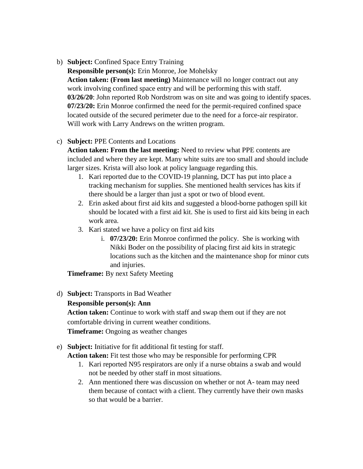b) **Subject:** Confined Space Entry Training

**Responsible person(s):** Erin Monroe, Joe Mohelsky **Action taken: (From last meeting)** Maintenance will no longer contract out any work involving confined space entry and will be performing this with staff. **03/26/20**: John reported Rob Nordstrom was on site and was going to identify spaces. **07/23/20:** Erin Monroe confirmed the need for the permit-required confined space located outside of the secured perimeter due to the need for a force-air respirator. Will work with Larry Andrews on the written program.

## c) **Subject:** PPE Contents and Locations

**Action taken: From the last meeting:** Need to review what PPE contents are included and where they are kept. Many white suits are too small and should include larger sizes. Krista will also look at policy language regarding this.

- 1. Kari reported due to the COVID-19 planning, DCT has put into place a tracking mechanism for supplies. She mentioned health services has kits if there should be a larger than just a spot or two of blood event.
- 2. Erin asked about first aid kits and suggested a blood-borne pathogen spill kit should be located with a first aid kit. She is used to first aid kits being in each work area.
- 3. Kari stated we have a policy on first aid kits
	- i. **07/23/20:** Erin Monroe confirmed the policy. She is working with Nikki Boder on the possibility of placing first aid kits in strategic locations such as the kitchen and the maintenance shop for minor cuts and injuries.

**Timeframe:** By next Safety Meeting

d) **Subject:** Transports in Bad Weather

## **Responsible person(s): Ann**

**Action taken:** Continue to work with staff and swap them out if they are not comfortable driving in current weather conditions. **Timeframe:** Ongoing as weather changes

## e) **Subject:** Initiative for fit additional fit testing for staff.

**Action taken:** Fit test those who may be responsible for performing CPR

- 1. Kari reported N95 respirators are only if a nurse obtains a swab and would not be needed by other staff in most situations.
- 2. Ann mentioned there was discussion on whether or not A- team may need them because of contact with a client. They currently have their own masks so that would be a barrier.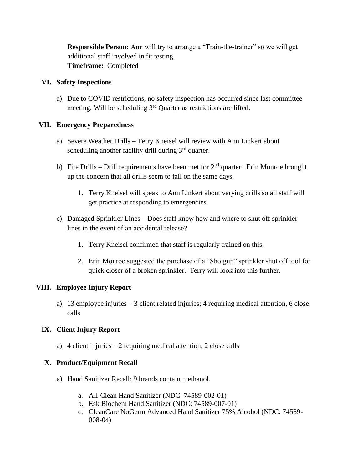**Responsible Person:** Ann will try to arrange a "Train-the-trainer" so we will get additional staff involved in fit testing. **Timeframe:** Completed

#### **VI. Safety Inspections**

a) Due to COVID restrictions, no safety inspection has occurred since last committee meeting. Will be scheduling 3rd Quarter as restrictions are lifted.

#### **VII. Emergency Preparedness**

- a) Severe Weather Drills Terry Kneisel will review with Ann Linkert about scheduling another facility drill during 3<sup>rd</sup> quarter.
- b) Fire Drills Drill requirements have been met for  $2<sup>nd</sup>$  quarter. Erin Monroe brought up the concern that all drills seem to fall on the same days.
	- 1. Terry Kneisel will speak to Ann Linkert about varying drills so all staff will get practice at responding to emergencies.
- c) Damaged Sprinkler Lines Does staff know how and where to shut off sprinkler lines in the event of an accidental release?
	- 1. Terry Kneisel confirmed that staff is regularly trained on this.
	- 2. Erin Monroe suggested the purchase of a "Shotgun" sprinkler shut off tool for quick closer of a broken sprinkler. Terry will look into this further.

### **VIII. Employee Injury Report**

a) 13 employee injuries – 3 client related injuries; 4 requiring medical attention, 6 close calls

## **IX. Client Injury Report**

a) 4 client injuries – 2 requiring medical attention, 2 close calls

## **X. Product/Equipment Recall**

- a) Hand Sanitizer Recall: 9 brands contain methanol.
	- a. All-Clean Hand Sanitizer (NDC: 74589-002-01)
	- b. Esk Biochem Hand Sanitizer (NDC: 74589-007-01)
	- c. CleanCare NoGerm Advanced Hand Sanitizer 75% Alcohol (NDC: 74589- 008-04)